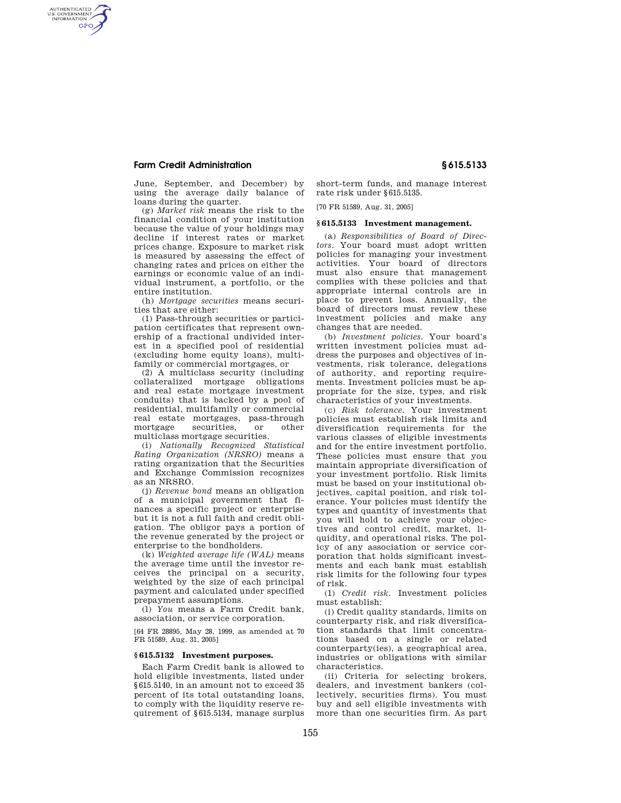## **Farm Credit Administration § 615.5133**

AUTHENTICATED<br>U.S. GOVERNMENT<br>INFORMATION **GPO** 

> June, September, and December) by using the average daily balance of loans during the quarter.

(g) *Market risk* means the risk to the financial condition of your institution because the value of your holdings may decline if interest rates or market prices change. Exposure to market risk is measured by assessing the effect of changing rates and prices on either the earnings or economic value of an individual instrument, a portfolio, or the entire institution.

(h) *Mortgage securities* means securities that are either:

(1) Pass-through securities or participation certificates that represent ownership of a fractional undivided interest in a specified pool of residential (excluding home equity loans), multifamily or commercial mortgages, or

(2) A multiclass security (including collateralized mortgage obligations and real estate mortgage investment conduits) that is backed by a pool of residential, multifamily or commercial real estate mortgages, pass-through mortgage securities, or other multiclass mortgage securities.

(i) *Nationally Recognized Statistical Rating Organization (NRSRO)* means a rating organization that the Securities and Exchange Commission recognizes as an NRSRO.

(j) *Revenue bond* means an obligation of a municipal government that finances a specific project or enterprise but it is not a full faith and credit obligation. The obligor pays a portion of the revenue generated by the project or enterprise to the bondholders.

(k) *Weighted average life (WAL)* means the average time until the investor receives the principal on a security, weighted by the size of each principal payment and calculated under specified prepayment assumptions.

(l) *You* means a Farm Credit bank, association, or service corporation.

[64 FR 28895, May 28, 1999, as amended at 70 FR 51589, Aug. 31, 2005]

## **§ 615.5132 Investment purposes.**

Each Farm Credit bank is allowed to hold eligible investments, listed under §615.5140, in an amount not to exceed 35 percent of its total outstanding loans, to comply with the liquidity reserve requirement of §615.5134, manage surplus

short-term funds, and manage interest rate risk under §615.5135.

[70 FR 51589, Aug. 31, 2005]

## **§ 615.5133 Investment management.**

(a) *Responsibilities of Board of Directors.* Your board must adopt written policies for managing your investment activities. Your board of directors must also ensure that management complies with these policies and that appropriate internal controls are in place to prevent loss. Annually, the board of directors must review these investment policies and make any changes that are needed.

(b) *Investment policies.* Your board's written investment policies must address the purposes and objectives of investments, risk tolerance, delegations of authority, and reporting requirements. Investment policies must be appropriate for the size, types, and risk characteristics of your investments.

(c) *Risk tolerance.* Your investment policies must establish risk limits and diversification requirements for the various classes of eligible investments and for the entire investment portfolio. These policies must ensure that you maintain appropriate diversification of your investment portfolio. Risk limits must be based on your institutional objectives, capital position, and risk tolerance. Your policies must identify the types and quantity of investments that you will hold to achieve your objectives and control credit, market, liquidity, and operational risks. The policy of any association or service corporation that holds significant investments and each bank must establish risk limits for the following four types of risk.

(1) *Credit risk.* Investment policies must establish:

(i) Credit quality standards, limits on counterparty risk, and risk diversification standards that limit concentrations based on a single or related counterparty(ies), a geographical area, industries or obligations with similar characteristics.

(ii) Criteria for selecting brokers, dealers, and investment bankers (collectively, securities firms). You must buy and sell eligible investments with more than one securities firm. As part